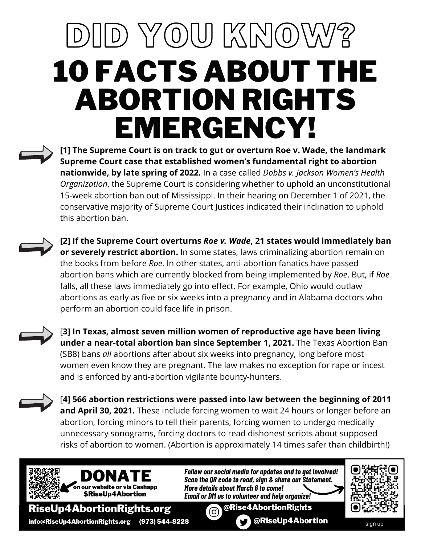## DID YOU KNOW? 10 FACTS ABOUT THE ABORTION RIGHTS EMERGENCY!

**[1] The Supreme Court is on track to gut or overturn Roe v. Wade, the landmark Supreme Court case that established women's fundamental right to abortion nationwide, by late spring of 2022.** In a case called *Dobbs v. Jackson Women's Health Organization*, the Supreme Court is considering whether to uphold an unconstitutional 15-week abortion ban out of Mississippi. In their hearing on December 1 of 2021, the conservative majority of Supreme Court Justices indicated their inclination to uphold this abortion ban.

**[2] If the Supreme Court overturns** *Roe v. Wade***, 21 states would immediately ban or severely restrict abortion.** In some states, laws criminalizing abortion remain on the books from before *Roe*. In other states, anti-abortion fanatics have passed abortion bans which are currently blocked from being implemented by *Roe*. But, if *Roe* falls, all these laws immediately go into effect. For example, Ohio would outlaw abortions as early as five or six weeks into a pregnancy and in Alabama doctors who perform an abortion could face life in prison.



[**3] In Texas, almost seven million women of reproductive age have been living under a near-total abortion ban since September 1, 2021.** The Texas Abortion Ban (SB8) bans *all* abortions after about six weeks into pregnancy, long before most women even know they are pregnant. The law makes no exception for rape or incest and is enforced by anti-abortion vigilante bounty-hunters.

[**4] 566 abortion restrictions were passed into law between the beginning of 2011 and April 30, 2021.** These include forcing women to wait 24 hours or longer before an abortion, forcing minors to tell their parents, forcing women to undergo medically unnecessary sonograms, forcing doctors to read dishonest scripts about supposed risks of abortion to women. (Abortion is approximately 14 times safer than childbirth!)



*Follow oursocial media for updates and to get involved!* **Scan the OR code to read, sign & share our Statement.** *More details about March 8 to come! Email or DM usto volunteer and help organize!*